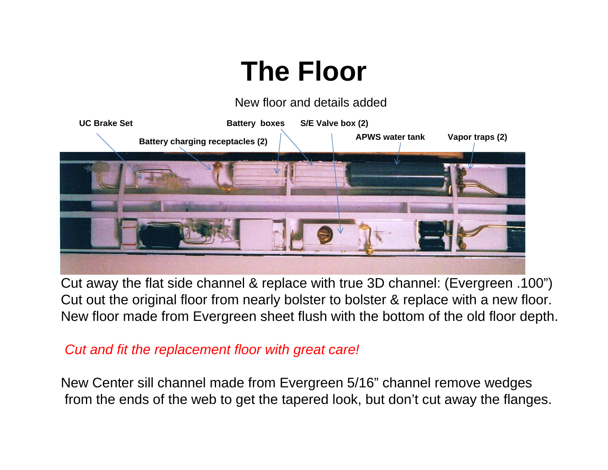#### **The Floor**

New floor and details added



Cut away the flat side channel & replace with true 3D channel: (Evergreen .100") Cut out the original floor from nearly bolster to bolster & replace with a new floor. New floor made from Evergreen sheet flush with the bottom of the old floor depth.

#### *Cut and fit the replacement floor with great care!*

New Center sill channel made from Evergreen 5/16" channel remove wedges from the ends of the web to get the tapered look, but don't cut away the flanges.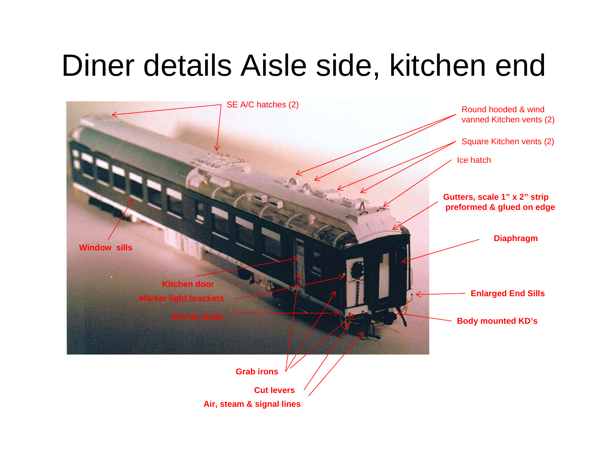# Diner details Aisle side, kitchen end



**Air, steam & signal lines**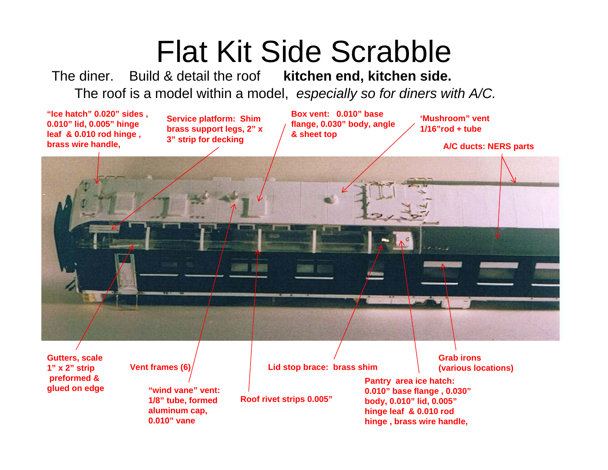## Flat Kit Side Scrabble

The diner. Build & detail the roof **kitchen end, kitchen side.** The roof is a model within a model, *especially so for diners with A/C.*

**"Ice hatch" 0.020" sides , 0.010" lid, 0.005" hinge leaf & 0.010 rod hinge , brass wire handle,** 

**Service platform: Shim brass support legs, 2" <sup>x</sup> 3" strip for decking**

**Box vent: 0.010" base flange, 0.030" body, angle & sheet top**

**'Mushroom" vent 1/16"rod + tube**

**A/C ducts: NERS parts**

**Gutters, scale 1" x 2" strip preformed & glued on edge**

**Vent frames (6)**

**"wind vane" vent: 1/8" tube, formed aluminum cap, 0.010" vane**

**Lid stop brace: brass shim**

**Roof rivet strips 0.005"**

**Grab irons (various locations)**

**Pantry area ice hatch: 0.010" base flange , 0.030" body, 0.010" lid, 0.005" hinge leaf & 0.010 rod hinge , brass wire handle,**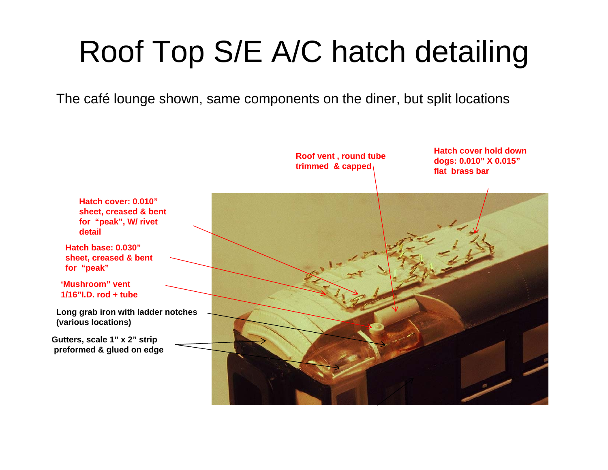# Roof Top S/E A/C hatch detailing

The café lounge shown, same components on the diner, but split locations